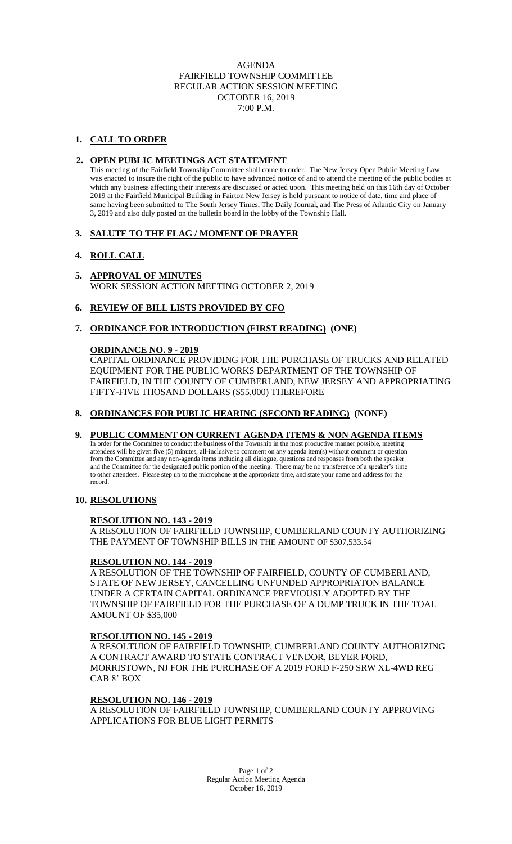## AGENDA FAIRFIELD TOWNSHIP COMMITTEE REGULAR ACTION SESSION MEETING OCTOBER 16, 2019 7:00 P.M.

## **1. CALL TO ORDER**

## **2. OPEN PUBLIC MEETINGS ACT STATEMENT**

This meeting of the Fairfield Township Committee shall come to order. The New Jersey Open Public Meeting Law was enacted to insure the right of the public to have advanced notice of and to attend the meeting of the public bodies at which any business affecting their interests are discussed or acted upon. This meeting held on this 16th day of October 2019 at the Fairfield Municipal Building in Fairton New Jersey is held pursuant to notice of date, time and place of same having been submitted to The South Jersey Times, The Daily Journal, and The Press of Atlantic City on January 3, 2019 and also duly posted on the bulletin board in the lobby of the Township Hall.

### **3. SALUTE TO THE FLAG / MOMENT OF PRAYER**

### **4. ROLL CALL**

#### **5. APPROVAL OF MINUTES** WORK SESSION ACTION MEETING OCTOBER 2, 2019

# **6. REVIEW OF BILL LISTS PROVIDED BY CFO**

# **7. ORDINANCE FOR INTRODUCTION (FIRST READING) (ONE)**

### **ORDINANCE NO. 9 - 2019**

CAPITAL ORDINANCE PROVIDING FOR THE PURCHASE OF TRUCKS AND RELATED EQUIPMENT FOR THE PUBLIC WORKS DEPARTMENT OF THE TOWNSHIP OF FAIRFIELD, IN THE COUNTY OF CUMBERLAND, NEW JERSEY AND APPROPRIATING FIFTY-FIVE THOSAND DOLLARS (\$55,000) THEREFORE

### **8. ORDINANCES FOR PUBLIC HEARING (SECOND READING) (NONE)**

### **9. PUBLIC COMMENT ON CURRENT AGENDA ITEMS & NON AGENDA ITEMS**

 In order for the Committee to conduct the business of the Township in the most productive manner possible, meeting attendees will be given five (5) minutes, all-inclusive to comment on any agenda item(s) without comment or question from the Committee and any non-agenda items including all dialogue, questions and responses from both the speaker and the Committee for the designated public portion of the meeting. There may be no transference of a speaker's time to other attendees. Please step up to the microphone at the appropriate time, and state your name and address for the record.

### **10. RESOLUTIONS**

### **RESOLUTION NO. 143 - 2019**

A RESOLUTION OF FAIRFIELD TOWNSHIP, CUMBERLAND COUNTY AUTHORIZING THE PAYMENT OF TOWNSHIP BILLS IN THE AMOUNT OF \$307,533.54

### **RESOLUTION NO. 144 - 2019**

A RESOLUTION OF THE TOWNSHIP OF FAIRFIELD, COUNTY OF CUMBERLAND, STATE OF NEW JERSEY, CANCELLING UNFUNDED APPROPRIATON BALANCE UNDER A CERTAIN CAPITAL ORDINANCE PREVIOUSLY ADOPTED BY THE TOWNSHIP OF FAIRFIELD FOR THE PURCHASE OF A DUMP TRUCK IN THE TOAL AMOUNT OF \$35,000

### **RESOLUTION NO. 145 - 2019**

A RESOLTUION OF FAIRFIELD TOWNSHIP, CUMBERLAND COUNTY AUTHORIZING A CONTRACT AWARD TO STATE CONTRACT VENDOR, BEYER FORD, MORRISTOWN, NJ FOR THE PURCHASE OF A 2019 FORD F-250 SRW XL-4WD REG CAB 8' BOX

### **RESOLUTION NO. 146 - 2019**

A RESOLUTION OF FAIRFIELD TOWNSHIP, CUMBERLAND COUNTY APPROVING APPLICATIONS FOR BLUE LIGHT PERMITS